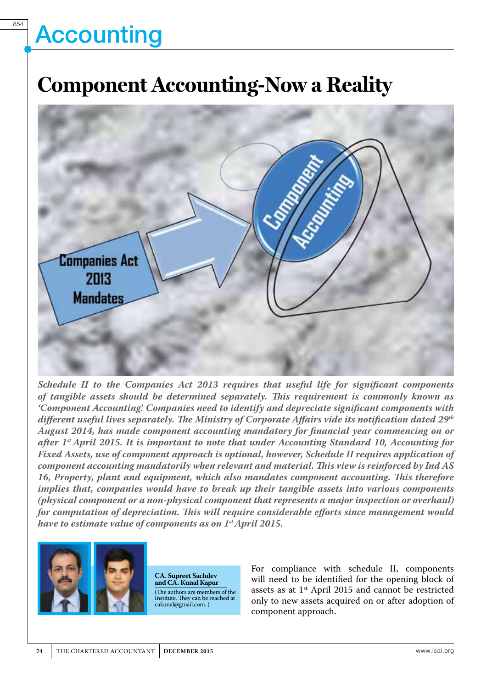# **Accounting**

### **Component Accounting-Now a Reality**



*Schedule II to the Companies Act 2013 requires that useful life for significant components of tangible assets should be determined separately. This requirement is commonly known as 'Component Accounting'. Companies need to identify and depreciate significant components with different useful lives separately. The Ministry of Corporate Affairs vide its notification dated 29th August 2014, has made component accounting mandatory for financial year commencing on or after 1st April 2015. It is important to note that under Accounting Standard 10, Accounting for Fixed Assets, use of component approach is optional, however, Schedule II requires application of component accounting mandatorily when relevant and material. This view is reinforced by Ind AS 16, Property, plant and equipment, which also mandates component accounting. This therefore implies that, companies would have to break up their tangible assets into various components (physical component or a non-physical component that represents a major inspection or overhaul) for computation of depreciation. This will require considerable efforts since management would have to estimate value of components as on 1st April 2015.*



**CA. Supreet Sachdev and CA. Kunal Kapur** (The authors are members of the Institute. They can be reached at cakunal@gmail.com. )

For compliance with schedule II, components will need to be identified for the opening block of assets as at 1st April 2015 and cannot be restricted only to new assets acquired on or after adoption of component approach.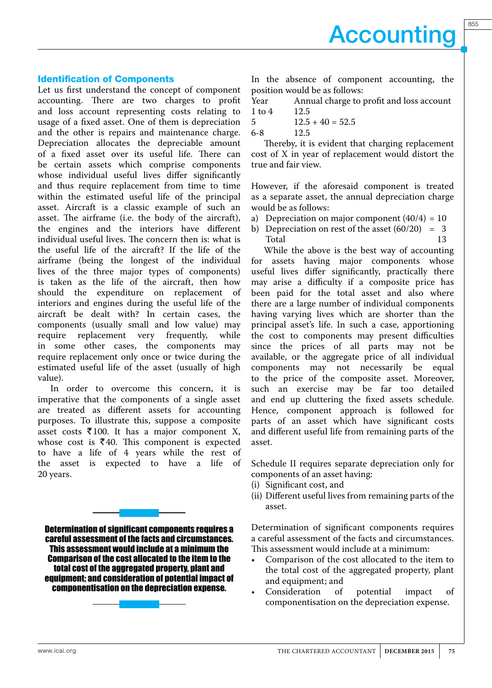855

#### Identification of Components

Let us first understand the concept of component accounting. There are two charges to profit and loss account representing costs relating to usage of a fixed asset. One of them is depreciation and the other is repairs and maintenance charge. Depreciation allocates the depreciable amount of a fixed asset over its useful life. There can be certain assets which comprise components whose individual useful lives differ significantly and thus require replacement from time to time within the estimated useful life of the principal asset. Aircraft is a classic example of such an asset. The airframe (i.e. the body of the aircraft), the engines and the interiors have different individual useful lives. The concern then is: what is the useful life of the aircraft? If the life of the airframe (being the longest of the individual lives of the three major types of components) is taken as the life of the aircraft, then how should the expenditure on replacement of interiors and engines during the useful life of the aircraft be dealt with? In certain cases, the components (usually small and low value) may<br>require replacement very frequently, while replacement very frequently, while in some other cases, the components may require replacement only once or twice during the estimated useful life of the asset (usually of high value).

In order to overcome this concern, it is imperative that the components of a single asset are treated as different assets for accounting purposes. To illustrate this, suppose a composite asset costs  $\overline{\xi}$ 100. It has a major component X, whose cost is  $\overline{\xi}40$ . This component is expected to have a life of 4 years while the rest of the asset is expected to have a life of 20 years.

Determination of significant components requires a careful assessment of the facts and circumstances. This assessment would include at a minimum the Comparison of the cost allocated to the item to the total cost of the aggregated property, plant and equipment; and consideration of potential impact of componentisation on the depreciation expense.

In the absence of component accounting, the position would be as follows:

Year Annual charge to profit and loss account<br>1 to 4 12.5  $1$  to  $4$ 

$$
12.5 + 40 = 52.5
$$

6-8 12.5

Thereby, it is evident that charging replacement cost of X in year of replacement would distort the true and fair view.

However, if the aforesaid component is treated as a separate asset, the annual depreciation charge would be as follows:

- a) Depreciation on major component  $(40/4) = 10$
- b) Depreciation on rest of the asset  $(60/20) = 3$ <br>Total 13 Total 13

While the above is the best way of accounting for assets having major components whose useful lives differ significantly, practically there may arise a difficulty if a composite price has been paid for the total asset and also where there are a large number of individual components having varying lives which are shorter than the principal asset's life. In such a case, apportioning the cost to components may present difficulties since the prices of all parts may not be available, or the aggregate price of all individual components may not necessarily be equal to the price of the composite asset. Moreover, such an exercise may be far too detailed and end up cluttering the fixed assets schedule. Hence, component approach is followed for parts of an asset which have significant costs and different useful life from remaining parts of the asset.

Schedule II requires separate depreciation only for components of an asset having:

- (i) Significant cost, and
- (ii) Different useful lives from remaining parts of the asset.

Determination of significant components requires a careful assessment of the facts and circumstances. This assessment would include at a minimum:

- Comparison of the cost allocated to the item to the total cost of the aggregated property, plant and equipment; and
- Consideration of potential impact of componentisation on the depreciation expense.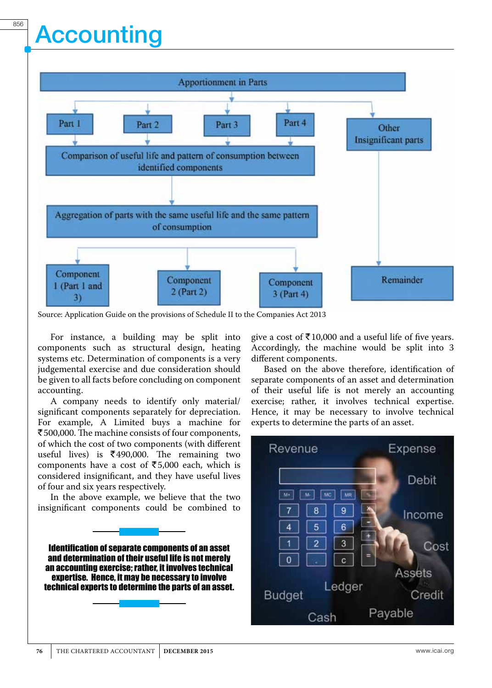## **Accounting**



Source: Application Guide on the provisions of Schedule II to the Companies Act 2013

For instance, a building may be split into components such as structural design, heating systems etc. Determination of components is a very judgemental exercise and due consideration should be given to all facts before concluding on component accounting.

A company needs to identify only material/ significant components separately for depreciation. For example, A Limited buys a machine for ₹500,000. The machine consists of four components, of which the cost of two components (with different useful lives) is  $\overline{\xi}$ 490,000. The remaining two components have a cost of  $\overline{\xi}$ 5,000 each, which is considered insignificant, and they have useful lives of four and six years respectively.

In the above example, we believe that the two insignificant components could be combined to

Identification of separate components of an asset and determination of their useful life is not merely an accounting exercise; rather, it involves technical expertise. Hence, it may be necessary to involve technical experts to determine the parts of an asset. give a cost of  $\bar{\tau}$ 10,000 and a useful life of five years. Accordingly, the machine would be split into 3 different components.

Based on the above therefore, identification of separate components of an asset and determination of their useful life is not merely an accounting exercise; rather, it involves technical expertise. Hence, it may be necessary to involve technical experts to determine the parts of an asset.

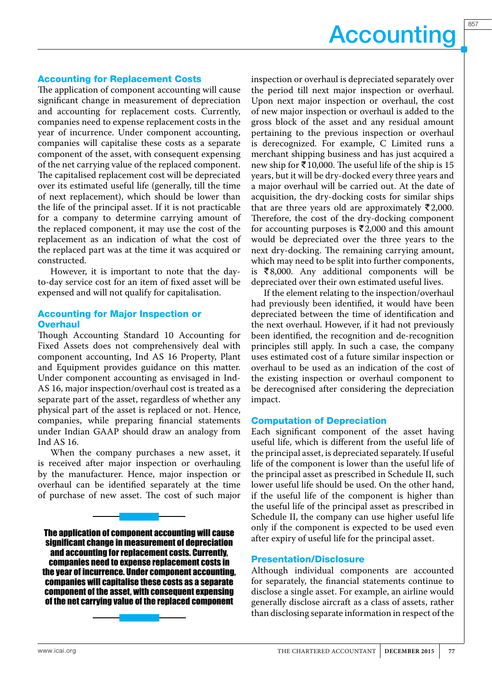857

### Accounting for Replacement Costs

The application of component accounting will cause significant change in measurement of depreciation and accounting for replacement costs. Currently, companies need to expense replacement costs in the year of incurrence. Under component accounting, companies will capitalise these costs as a separate component of the asset, with consequent expensing of the net carrying value of the replaced component. The capitalised replacement cost will be depreciated over its estimated useful life (generally, till the time of next replacement), which should be lower than the life of the principal asset. If it is not practicable for a company to determine carrying amount of the replaced component, it may use the cost of the replacement as an indication of what the cost of the replaced part was at the time it was acquired or constructed.

However, it is important to note that the dayto-day service cost for an item of fixed asset will be expensed and will not qualify for capitalisation.

### Accounting for Major Inspection or **Overhaul**

Though Accounting Standard 10 Accounting for Fixed Assets does not comprehensively deal with component accounting, Ind AS 16 Property, Plant and Equipment provides guidance on this matter. Under component accounting as envisaged in Ind-AS 16, major inspection/overhaul cost is treated as a separate part of the asset, regardless of whether any physical part of the asset is replaced or not. Hence, companies, while preparing financial statements under Indian GAAP should draw an analogy from Ind AS 16.

When the company purchases a new asset, it is received after major inspection or overhauling by the manufacturer. Hence, major inspection or overhaul can be identified separately at the time of purchase of new asset. The cost of such major

The application of component accounting will cause significant change in measurement of depreciation and accounting for replacement costs. Currently, companies need to expense replacement costs in the year of incurrence. Under component accounting, companies will capitalise these costs as a separate component of the asset, with consequent expensing of the net carrying value of the replaced component

inspection or overhaul is depreciated separately over the period till next major inspection or overhaul. Upon next major inspection or overhaul, the cost of new major inspection or overhaul is added to the gross block of the asset and any residual amount pertaining to the previous inspection or overhaul is derecognized. For example, C Limited runs a merchant shipping business and has just acquired a new ship for  $\bar{\bar{\xi}}$  10,000. The useful life of the ship is 15 years, but it will be dry-docked every three years and a major overhaul will be carried out. At the date of acquisition, the dry-docking costs for similar ships that are three years old are approximately  $\bar{\zeta}$ 2,000. Therefore, the cost of the dry-docking component for accounting purposes is  $\bar{\tau}$ 2,000 and this amount would be depreciated over the three years to the next dry-docking. The remaining carrying amount, which may need to be split into further components, is  $\bar{\xi}8,000$ . Any additional components will be depreciated over their own estimated useful lives.

If the element relating to the inspection/overhaul had previously been identified, it would have been depreciated between the time of identification and the next overhaul. However, if it had not previously been identified, the recognition and de-recognition principles still apply. In such a case, the company uses estimated cost of a future similar inspection or overhaul to be used as an indication of the cost of the existing inspection or overhaul component to be derecognised after considering the depreciation impact.

#### Computation of Depreciation

Each significant component of the asset having useful life, which is different from the useful life of the principal asset, is depreciated separately. If useful life of the component is lower than the useful life of the principal asset as prescribed in Schedule II, such lower useful life should be used. On the other hand, if the useful life of the component is higher than the useful life of the principal asset as prescribed in Schedule II, the company can use higher useful life only if the component is expected to be used even after expiry of useful life for the principal asset.

#### Presentation/Disclosure

Although individual components are accounted for separately, the financial statements continue to disclose a single asset. For example, an airline would generally disclose aircraft as a class of assets, rather than disclosing separate information in respect of the